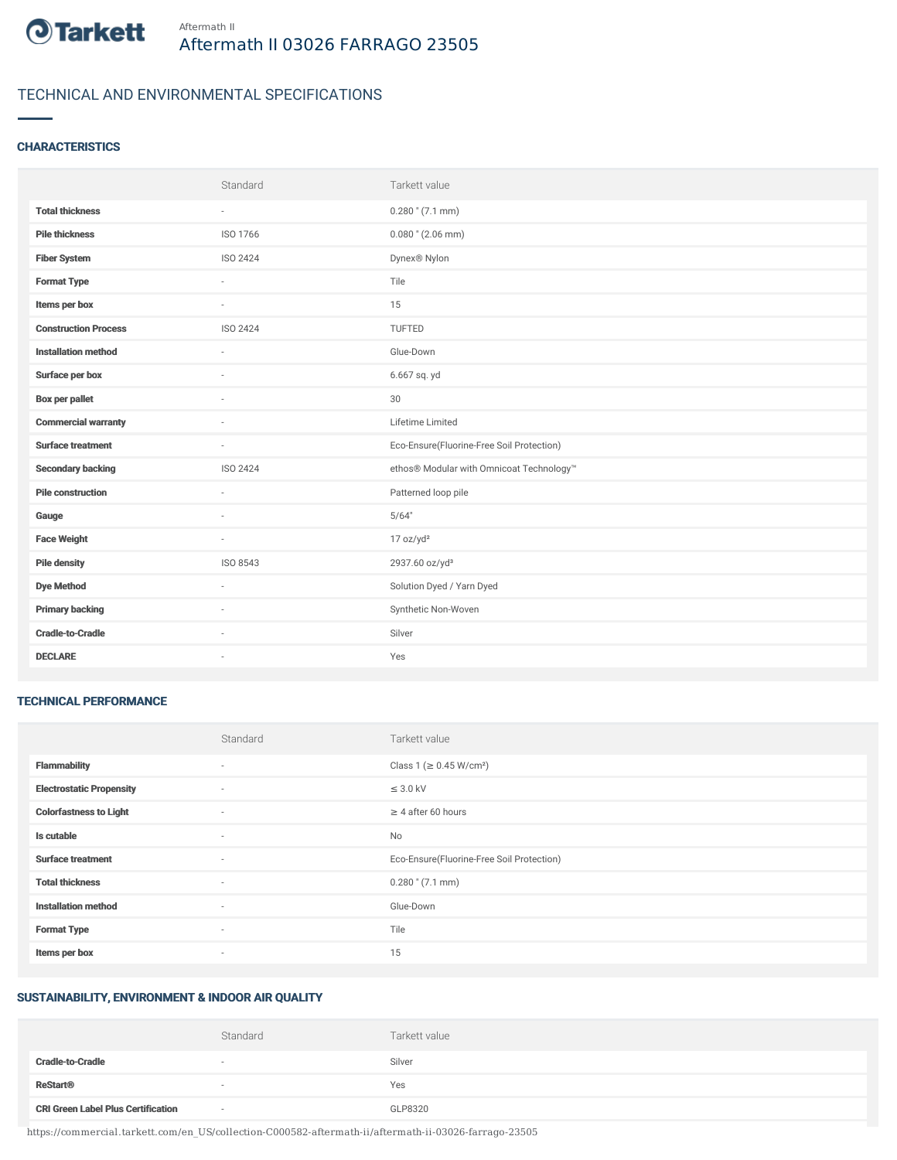

## TECHNICAL AND ENVIRONMENTAL SPECIFICATIONS

#### **CHARACTERISTICS**

|                             | Standard | Tarkett value                             |
|-----------------------------|----------|-------------------------------------------|
| <b>Total thickness</b>      | $\sim$   | $0.280$ " (7.1 mm)                        |
| <b>Pile thickness</b>       | ISO 1766 | $0.080$ " (2.06 mm)                       |
| <b>Fiber System</b>         | ISO 2424 | Dynex® Nylon                              |
| <b>Format Type</b>          | ٠        | Tile                                      |
| Items per box               | $\sim$   | 15                                        |
| <b>Construction Process</b> | ISO 2424 | TUFTED                                    |
| <b>Installation method</b>  | $\sim$   | Glue-Down                                 |
| Surface per box             | ٠        | 6.667 sq. yd                              |
| <b>Box per pallet</b>       | ×.       | 30                                        |
| <b>Commercial warranty</b>  |          | Lifetime Limited                          |
| <b>Surface treatment</b>    | ×.       | Eco-Ensure(Fluorine-Free Soil Protection) |
| <b>Secondary backing</b>    | ISO 2424 | ethos® Modular with Omnicoat Technology™  |
| <b>Pile construction</b>    | $\sim$   | Patterned loop pile                       |
| Gauge                       |          | 5/64"                                     |
| <b>Face Weight</b>          | $\sim$   | 17 oz/yd <sup>2</sup>                     |
| <b>Pile density</b>         | ISO 8543 | 2937.60 oz/yd <sup>3</sup>                |
| <b>Dye Method</b>           | ×.       | Solution Dyed / Yarn Dyed                 |
| <b>Primary backing</b>      | ٠        | Synthetic Non-Woven                       |
| <b>Cradle-to-Cradle</b>     | ×.       | Silver                                    |
| <b>DECLARE</b>              | ٠        | Yes                                       |

#### TECHNICAL PERFORMANCE

|                                 | Standard | Tarkett value                             |
|---------------------------------|----------|-------------------------------------------|
| <b>Flammability</b>             | ٠        | Class 1 ( $\geq$ 0.45 W/cm <sup>2</sup> ) |
| <b>Electrostatic Propensity</b> | $\sim$   | $\leq$ 3.0 kV                             |
| <b>Colorfastness to Light</b>   | $\sim$   | $\geq 4$ after 60 hours                   |
| Is cutable                      | $\sim$   | No                                        |
| <b>Surface treatment</b>        | $\sim$   | Eco-Ensure(Fluorine-Free Soil Protection) |
| <b>Total thickness</b>          | $\sim$   | $0.280$ " (7.1 mm)                        |
| <b>Installation method</b>      | $\sim$   | Glue-Down                                 |
| <b>Format Type</b>              | $\sim$   | Tile                                      |
| Items per box                   | $\sim$   | 15                                        |

# SUSTAINABILITY, ENVIRONMENT & INDOOR AIR QUALITY

|                                           | Standard                 | Tarkett value |
|-------------------------------------------|--------------------------|---------------|
| <b>Cradle-to-Cradle</b>                   | $\overline{\phantom{a}}$ | Silver        |
| <b>ReStart®</b>                           |                          | Yes           |
| <b>CRI Green Label Plus Certification</b> | $\sim$                   | GLP8320       |

https://commercial.tarkett.com/en\_US/collection-C000582-aftermath-ii/aftermath-ii-03026-farrago-23505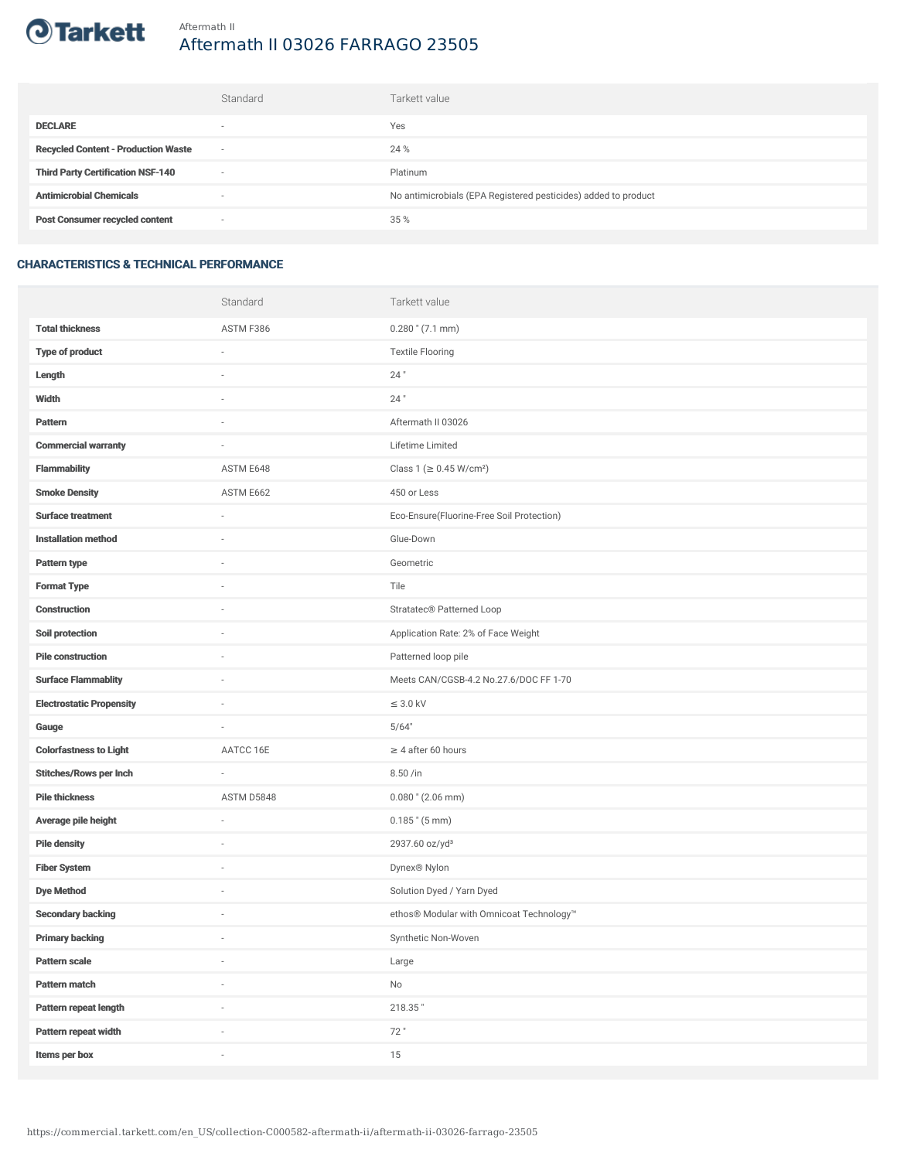

# Aftermath II 03026 FARRAGO 23505

|                                            | Standard                 | Tarkett value                                                  |
|--------------------------------------------|--------------------------|----------------------------------------------------------------|
| <b>DECLARE</b>                             | $\overline{\phantom{a}}$ | Yes                                                            |
| <b>Recycled Content - Production Waste</b> | $\overline{\phantom{a}}$ | 24 %                                                           |
| <b>Third Party Certification NSF-140</b>   | $\sim$                   | Platinum                                                       |
| <b>Antimicrobial Chemicals</b>             | ۰                        | No antimicrobials (EPA Registered pesticides) added to product |
| <b>Post Consumer recycled content</b>      | $\sim$                   | 35 %                                                           |

### CHARACTERISTICS & TECHNICAL PERFORMANCE

|                                 | Standard                 | Tarkett value                             |
|---------------------------------|--------------------------|-------------------------------------------|
| <b>Total thickness</b>          | ASTM F386                | $0.280$ " (7.1 mm)                        |
| <b>Type of product</b>          | ä,                       | <b>Textile Flooring</b>                   |
| Length                          |                          | 24"                                       |
| Width                           | $\sim$                   | $24$ "                                    |
| Pattern                         |                          | Aftermath II 03026                        |
| <b>Commercial warranty</b>      |                          | Lifetime Limited                          |
| <b>Flammability</b>             | ASTM E648                | Class 1 (≥ 0.45 W/cm <sup>2</sup> )       |
| <b>Smoke Density</b>            | ASTM E662                | 450 or Less                               |
| <b>Surface treatment</b>        | $\sim$                   | Eco-Ensure(Fluorine-Free Soil Protection) |
| <b>Installation method</b>      | $\sim$                   | Glue-Down                                 |
| Pattern type                    |                          | Geometric                                 |
| <b>Format Type</b>              |                          | Tile                                      |
| <b>Construction</b>             | $\sim$                   | Stratatec <sup>®</sup> Patterned Loop     |
| Soil protection                 |                          | Application Rate: 2% of Face Weight       |
| <b>Pile construction</b>        |                          | Patterned loop pile                       |
| <b>Surface Flammablity</b>      | ×,                       | Meets CAN/CGSB-4.2 No.27.6/DOC FF 1-70    |
| <b>Electrostatic Propensity</b> |                          | $\leq$ 3.0 kV                             |
| Gauge                           | ×,                       | 5/64"                                     |
| <b>Colorfastness to Light</b>   | AATCC 16E                | $\geq 4$ after 60 hours                   |
| <b>Stitches/Rows per Inch</b>   | ä,                       | 8.50 /in                                  |
| <b>Pile thickness</b>           | ASTM D5848               | $0.080$ " (2.06 mm)                       |
| Average pile height             | ×,                       | $0.185$ " $(5 \text{ mm})$                |
| <b>Pile density</b>             |                          | 2937.60 oz/yd <sup>3</sup>                |
| <b>Fiber System</b>             |                          | Dynex® Nylon                              |
| <b>Dye Method</b>               | ×,                       | Solution Dyed / Yarn Dyed                 |
| <b>Secondary backing</b>        |                          | ethos® Modular with Omnicoat Technology™  |
| <b>Primary backing</b>          | $\overline{\phantom{a}}$ | Synthetic Non-Woven                       |
| Pattern scale                   | $\overline{\phantom{a}}$ | Large                                     |
| Pattern match                   | i.                       | $\mathsf{No}$                             |
| Pattern repeat length           |                          | 218.35"                                   |
| Pattern repeat width            | i.                       | 72"                                       |
| Items per box                   | i.                       | 15                                        |